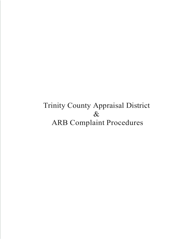## Trinity County Appraisal District  $\&$ ARB Complaint Procedures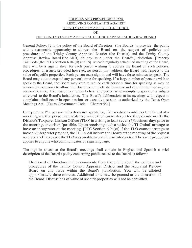## POLICIES AND PROCEDURES FOR RESOLVING COMPLAINTS AGAINST TRINITY COUNTY APPRAISAL DISTRICT OR THE TRINITY COUNTY APPRAISAL DISTRICT APPRAISAL REVIEW BOARD

General Policy: It is the policy of the Board of Directors (the Board) to provide the public with a reasonable opportunity to address the Board on the subject of policies and procedures of the Trinity County Appraisal District (the District) and the Trinity County Appraisal Review Board (the ARB), on any issue under the Board's jurisdiction. [Property Tax Code (the PTC) Section 6.04 (d) and (f)]. At each regularly scheduled meeting of the Board, there will be a sign in sheet for each person wishing to address the Board on such policies, procedures, or issues, provided however, no person may address the Board with respect to the value of specific properties. Each person must sign in and will have three minutes to speak. The Board may vote to expand any person's time for speaking. If a large number of persons wish to speak to the Board, the Board may vote to reduce each person's time for speaking as may be reasonably necessary to allow the Board to complete its business and adjourn the meeting at a reasonable time. The Board may refuse to hear any person who attempts to speak on a subject unrelated to the Board's jurisdiction. The Board's deliberations at its meetings with respect to complaints shall occur in open session or executive session as authorized by the Texas Open Meetings Act. [Texas Government Code - Chapter 551]

Interpreters: If a person who does not speak English wishes to address the Board at a meeting, and that person is unable to provide their own interpreter, they should notify the District's Taxpayer Liaison Officer (TLO) in writing at least seven (7) business days prior to the meeting, or earlier if possible. Upon receiving such a notice, the TLO shall arrange to have an interpreter at the meeting. [PTC Section 6.04(e)] If the TLO cannot arrange to have an interpreter present, the TLO shall inform the Board at the meeting of the request received and the reason the TLO was unable to provide an interpreter. The same procedure applies to anyone who communicates by sign language.

The sign in sheets at the Board's meetings shall contain in English and Spanish a brief description of the Board's policy concerning public access to the Board as follows:

The Board of Directors invites comments from the public about the policies and procedures of the Trinity County Appraisal District and the Appraisal Review Board on any issue within the Board's jurisdiction. You will be allotted approximately three minutes. Additional time may be granted at the discretion of the Board. Discussions of value of specific properties will not be permitted.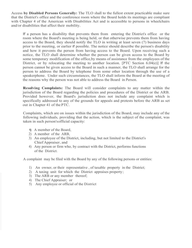Access **by Disabled Persons Generally:** The TLO shall to the fullest extent practicable make sure that the District's office and the conference room where the Board holds its meetings are compliant with Chapter 4 of the American with Disabilities Act and is accessible to persons in wheelchairs and/or disabilities that affect their mobility.

If a person has a disability that prevents them from entering the District's office or the room where the Board's meeting is being held, or that otherwise prevents them from having access to the Board, they should notify the TLO in writing at least seven (7) business days prior to the meeting, or earlier if possible. The notice should describe the person's disability and how it prevents the person from having access to the Board. Upon receiving such a notice, the TLO shall determine whether the person can be given access to the Board by some temporary modification of the office,by means of assistance from the employees of the District, or by relocating the meeting to another location. [PTC Section 6.04(e)] If the person cannot be given access to the Board in such a manner, the TLO shall arrange for the person to address the Board by telephone from some other location through the use of a speakerphone. Under such circumstances, the TLO shall inform the Board at the meeting of the reasons why the person was not able to address the Board in Person.

**Resolving Complaints:** The Board will consider complaints to any matter within the jurisdiction of the Board regarding the policies and procedures of the District or the ARB. Provided however, the Board's jurisdiction does not include any complaint which is specifically addressed to any of the grounds for appeals and protests before the ARB as set out in Chapter 41 of the PTC.

Complaints, which are on issues within the jurisdiction of the Board, may include any of the following individuals, providing that the action, which is the subject of the complaint, was taken in such person's official capacity:

- **1)** A member of the Board,
- 2) A member of the ARB,
- 3) An employee of the District, including, but not limited to the District's Chief Appraiser , and
- 4) Any person or firm who, by contract with the District, performs functions of the District.

A complaint may be filed with the Board by any of the following persons or entities:

- I) An owner, or their representative, of taxable property in the District;
- 2) A taxing unit for which the District appraises property ;
- 3) The ARB or any member thereof;
- 4) The Chief Appraiser; or
- 5) Any employee or official of the District